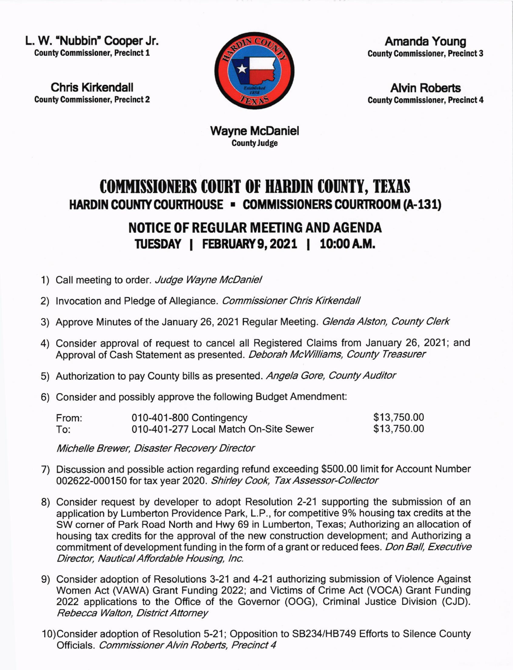L. W. "Nubbin" Cooper Jr. County Commissioner, Precinct 1

Chris Kirkendall **County Commissioner, Precinct 2** 



Amanda Young County Commlssioner, Precinct 3

**Alvin Roberts County Commissioner, Precinct 4** 

CountyJudge Wayne McDaniel

## COMMISSIONERS COURT OF HARDIN COUNTY, TEXAS HARDIN COUNTY COURTHOUSE - COMMISSIONERS COURTROOM (A-131)

## NOTICE OF REGUIAR MEETING AND AGENDA TUESDAY | FEBRUARY 9, 2021 | 10:00 A.M.

- 1) Call meeting to order. Judge Wayne McDaniel
- 2) Invocation and Pledge of Allegiance. Commissioner Chris Kirkendall
- 3) Approve Minutes of the January 26, 2021 Regular Meeting. Glenda Alston, County Clerk
- 4) Consider approval of request to cancel all Registered Claims from January 26, 2021; and Approval of Cash Statement as presented. Deborah McWilliams, County Treasurer
- 5) Authorization to pay County bills as presented. Angela Gore, County Auditor
- 6) Consider and possibly approve the following Budget Amendment:

| From: | 010-401-800 Contingency               | \$13,750.00 |
|-------|---------------------------------------|-------------|
| To:   | 010-401-277 Local Match On-Site Sewer | \$13,750.00 |

Michelle Brewer, Disaster Recovery Director

- 7) Discussion and possible action regarding refund exceeding \$500.00 limit for Account Number 002622-000150 for tax year 2020. Shirley Cook, Tax Assessor-Collector
- 8) Consider request by developer to adopt Resolution 2-21 supporting the submission of an application by Lumberton Providence Park, L.P., for competitive 9% housing tax credits at the SW corner of Park Road North and Hwy 69 in Lumberton, Texas; Authorizing an allocation of housing tax credits for the approval of the new construction development; and Authorizing a commitment of development funding in the form of a grant or reduced fees. Don Ball, Executive Director, Nautical Affordable Housing, Inc.
- 9) Consider adoption of Resolutions 3-21 and 4-21 authorizing submission of Violence Against Women Act (VAWA) Grant Funding 2022; and Victims of Crime Act (VOCA) Grant Funding 2022 applications to the Office of the Governor (OOG), Criminal Justice Division (CJD). Rebecca Walton, District Attorney
- 10)Consider adoption of Resolution 5-21; Opposition to SB234/HB749 Efforts to Silence County Officials. Commissioner Alvin Roberts, Precinct 4